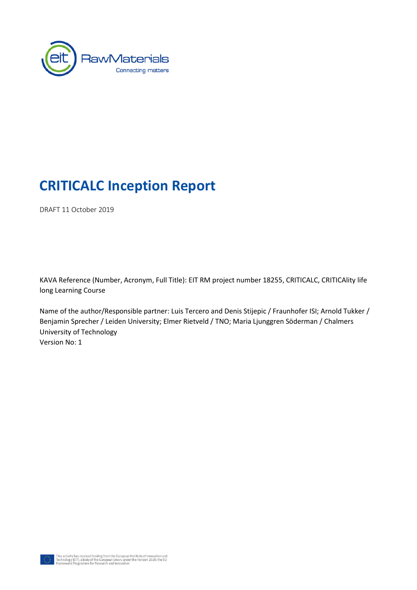

# **CRITICALC Inception Report**

DRAFT 11 October 2019

KAVA Reference (Number, Acronym, Full Title): EIT RM project number 18255, CRITICALC, CRITICAlity life long Learning Course

Name of the author/Responsible partner: Luis Tercero and Denis Stijepic / Fraunhofer ISI; Arnold Tukker / Benjamin Sprecher / Leiden University; Elmer Rietveld / TNO; Maria Ljunggren Söderman / Chalmers University of Technology Version No: 1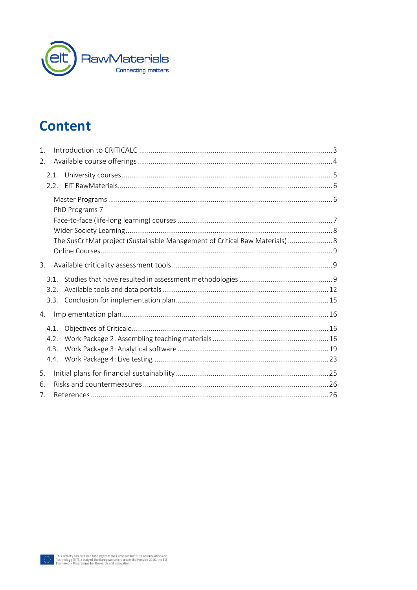

# **Content**

| $\mathbf{1}$ .<br>2. |                      |                                                                              |  |
|----------------------|----------------------|------------------------------------------------------------------------------|--|
|                      | 2.1.<br>2.2.         |                                                                              |  |
|                      |                      | PhD Programs 7                                                               |  |
|                      |                      |                                                                              |  |
|                      |                      | The SusCritMat project (Sustainable Management of Critical Raw Materials)  8 |  |
| 3.                   |                      |                                                                              |  |
|                      | 3.1.<br>3.2.<br>3.3. |                                                                              |  |
| 4.                   |                      |                                                                              |  |
|                      | 4.1.<br>4.2.<br>4.3. |                                                                              |  |
| 5.                   |                      |                                                                              |  |
| 6.<br>7.             |                      |                                                                              |  |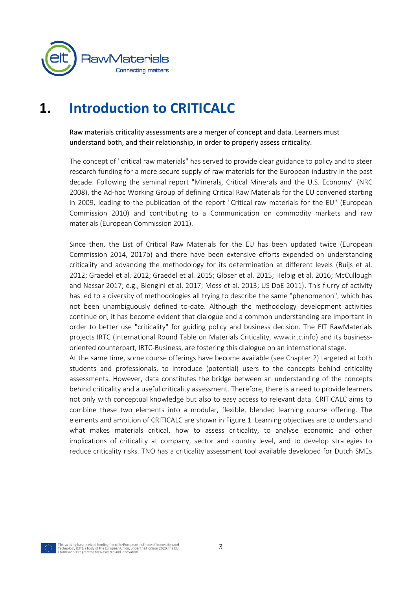

# <span id="page-2-0"></span>**1. Introduction to CRITICALC**

Raw materials criticality assessments are a merger of concept and data. Learners must understand both, and their relationship, in order to properly assess criticality.

The concept of "critical raw materials" has served to provide clear guidance to policy and to steer research funding for a more secure supply of raw materials for the European industry in the past decade. Following the seminal report "Minerals, Critical Minerals and the U.S. Economy" (NRC 2008), the Ad-hoc Working Group of defining Critical Raw Materials for the EU convened starting in 2009, leading to the publication of the report "Critical raw materials for the EU" (European Commission 2010) and contributing to a Communication on commodity markets and raw materials (European Commission 2011).

Since then, the List of Critical Raw Materials for the EU has been updated twice (European Commission 2014, 2017b) and there have been extensive efforts expended on understanding criticality and advancing the methodology for its determination at different levels (Buijs et al. 2012; Graedel et al. 2012; Graedel et al. 2015; Glöser et al. 2015; Helbig et al. 2016; McCullough and Nassar 2017; e.g., Blengini et al. 2017; Moss et al. 2013; US DoE 2011). This flurry of activity has led to a diversity of methodologies all trying to describe the same "phenomenon", which has not been unambiguously defined to-date. Although the methodology development activities continue on, it has become evident that dialogue and a common understanding are important in order to better use "criticality" for guiding policy and business decision. The EIT RawMaterials projects IRTC (International Round Table on Materials Criticality, [www.irtc.info\)](http://www.irtc.info/) and its businessoriented counterpart, IRTC-Business, are fostering this dialogue on an international stage.

At the same time, some course offerings have become available (see Chapter [2\)](#page-3-0) targeted at both students and professionals, to introduce (potential) users to the concepts behind criticality assessments. However, data constitutes the bridge between an understanding of the concepts behind criticality and a useful criticality assessment. Therefore, there is a need to provide learners not only with conceptual knowledge but also to easy access to relevant data. CRITICALC aims to combine these two elements into a modular, flexible, blended learning course offering. The elements and ambition of CRITICALC are shown in [Figure 1.](#page-3-1) Learning objectives are to understand what makes materials critical, how to assess criticality, to analyse economic and other implications of criticality at company, sector and country level, and to develop strategies to reduce criticality risks. TNO has a criticality assessment tool available developed for Dutch SMEs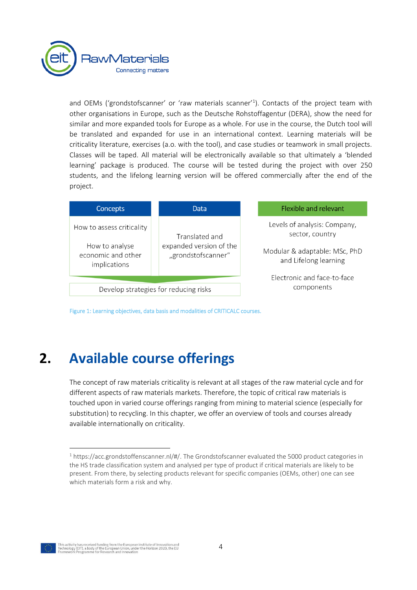

and OEMs ('grondstofscanner' or 'raw materials scanner'<sup>1</sup>). Contacts of the project team with other organisations in Europe, such as the Deutsche Rohstoffagentur (DERA), show the need for similar and more expanded tools for Europe as a whole. For use in the course, the Dutch tool will be translated and expanded for use in an international context. Learning materials will be criticality literature, exercises (a.o. with the tool), and case studies or teamwork in small projects. Classes will be taped. All material will be electronically available so that ultimately a 'blended learning' package is produced. The course will be tested during the project with over 250 students, and the lifelong learning version will be offered commercially after the end of the project.

| <b>Concepts</b>                                      | Data                                          | Flexible and relevant                                  |
|------------------------------------------------------|-----------------------------------------------|--------------------------------------------------------|
| How to assess criticality                            | Translated and                                | Levels of analysis: Company,<br>sector, country        |
| How to analyse<br>economic and other<br>implications | expanded version of the<br>"grondstofscanner" | Modular & adaptable: MSc, PhD<br>and Lifelong learning |
|                                                      |                                               | Electronic and face-to-face                            |
| Develop strategies for reducing risks                |                                               | components                                             |

<span id="page-3-1"></span><span id="page-3-0"></span>Figure 1: Learning objectives, data basis and modalities of CRITICALC courses.

# **2. Available course offerings**

The concept of raw materials criticality is relevant at all stages of the raw material cycle and for different aspects of raw materials markets. Therefore, the topic of critical raw materials is touched upon in varied course offerings ranging from mining to material science (especially for substitution) to recycling. In this chapter, we offer an overview of tools and courses already available internationally on criticality.

1

<sup>1</sup> [https://acc.grondstoffenscanner.nl/#/.](https://acc.grondstoffenscanner.nl/#/) The Grondstofscanner evaluated the 5000 product categories in the HS trade classification system and analysed per type of product if critical materials are likely to be present. From there, by selecting products relevant for specific companies (OEMs, other) one can see which materials form a risk and why.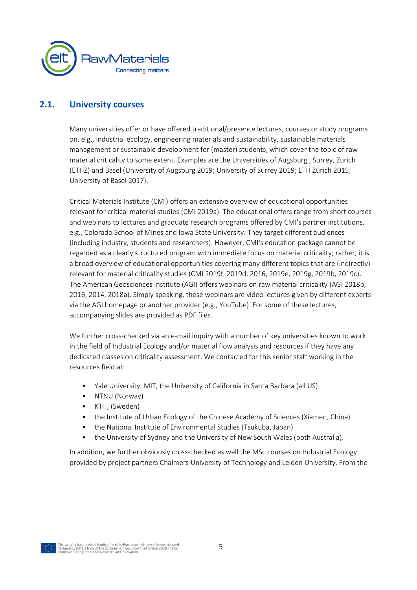

#### **2.1. University courses**

<span id="page-4-0"></span>Many universities offer or have offered traditional/presence lectures, courses or study programs on, e.g., industrial ecology, engineering materials and sustainability, sustainable materials management or sustainable development for (master) students, which cover the topic of raw material criticality to some extent. Examples are the Universities of Augsburg , Surrey, Zurich (ETHZ) and Basel (University of Augsburg 2019; University of Surrey 2019; ETH Zürich 2015; University of Basel 2017).

Critical Materials Institute (CMI) offers an extensive overview of educational opportunities relevant for critical material studies (CMI 2019a). The educational offers range from short courses and webinars to lectures and graduate research programs offered by CMI's partner institutions, e.g., Colorado School of Mines and Iowa State University. They target different audiences (including industry, students and researchers). However, CMI's education package cannot be regarded as a clearly structured program with immediate focus on material criticality; rather, it is a broad overview of educational opportunities covering many different topics that are (indirectly) relevant for material criticality studies (CMI 2019f, 2019d, 2016, 2019e, 2019g, 2019b, 2019c). The American Geosciences Institute (AGI) offers webinars on raw material criticality (AGI 2018b, 2016, 2014, 2018a). Simply speaking, these webinars are video lectures given by different experts via the AGI homepage or another provider (e.g., YouTube). For some of these lectures, accompanying slides are provided as PDF files.

We further cross-checked via an e-mail inquiry with a number of key universities known to work in the field of Industrial Ecology and/or material flow analysis and resources if they have any dedicated classes on criticality assessment. We contacted for this senior staff working in the resources field at:

- Yale University, MIT, the University of California in Santa Barbara (all US)
- NTNU (Norway)
- KTH, (Sweden)
- the Institute of Urban Ecology of the Chinese Academy of Sciences (Xiamen, China)
- the National Institute of Environmental Studies (Tsukuba, Japan)
- the University of Sydney and the University of New South Wales (both Australia).

In addition, we further obviously cross-checked as well the MSc courses on Industrial Ecology provided by project partners Chalmers University of Technology and Leiden University. From the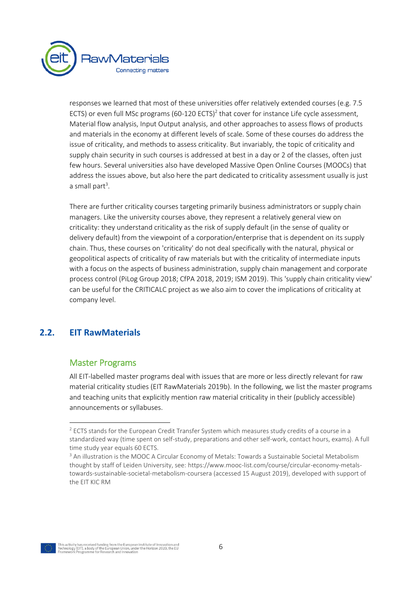

responses we learned that most of these universities offer relatively extended courses (e.g. 7.5 ECTS) or even full MSc programs (60-120 ECTS)<sup>2</sup> that cover for instance Life cycle assessment, Material flow analysis, Input Output analysis, and other approaches to assess flows of products and materials in the economy at different levels of scale. Some of these courses do address the issue of criticality, and methods to assess criticality. But invariably, the topic of criticality and supply chain security in such courses is addressed at best in a day or 2 of the classes, often just few hours. Several universities also have developed Massive Open Online Courses (MOOCs) that address the issues above, but also here the part dedicated to criticality assessment usually is just a small part<sup>3</sup>.

There are further criticality courses targeting primarily business administrators or supply chain managers. Like the university courses above, they represent a relatively general view on criticality: they understand criticality as the risk of supply default (in the sense of quality or delivery default) from the viewpoint of a corporation/enterprise that is dependent on its supply chain. Thus, these courses on 'criticality' do not deal specifically with the natural, physical or geopolitical aspects of criticality of raw materials but with the criticality of intermediate inputs with a focus on the aspects of business administration, supply chain management and corporate process control (PiLog Group 2018; CfPA 2018, 2019; ISM 2019). This 'supply chain criticality view' can be useful for the CRITICALC project as we also aim to cover the implications of criticality at company level.

## <span id="page-5-0"></span>**2.2. EIT RawMaterials**

 $\ddot{\phantom{a}}$ 

### <span id="page-5-1"></span>Master Programs

All EIT-labelled master programs deal with issues that are more or less directly relevant for raw material criticality studies (EIT RawMaterials 2019b). In the following, we list the master programs and teaching units that explicitly mention raw material criticality in their (publicly accessible) announcements or syllabuses.



<sup>&</sup>lt;sup>2</sup> ECTS stands for the European Credit Transfer System which measures study credits of a course in a standardized way (time spent on self-study, preparations and other self-work, contact hours, exams). A full time study year equals 60 ECTS.

<sup>&</sup>lt;sup>3</sup> An illustration is the MOOC A Circular Economy of Metals: Towards a Sustainable Societal Metabolism thought by staff of Leiden University, see[: https://www.mooc-list.com/course/circular-economy-metals](https://www.mooc-list.com/course/circular-economy-metals-towards-sustainable-societal-metabolism-coursera)[towards-sustainable-societal-metabolism-coursera](https://www.mooc-list.com/course/circular-economy-metals-towards-sustainable-societal-metabolism-coursera) (accessed 15 August 2019), developed with support of the EIT KIC RM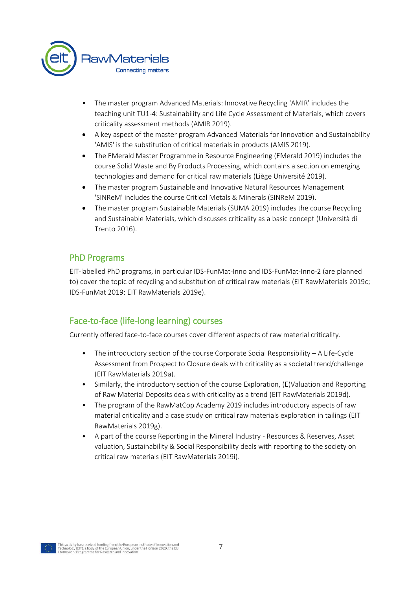

- The master program Advanced Materials: Innovative Recycling 'AMIR' includes the teaching unit TU1-4: Sustainability and Life Cycle Assessment of Materials, which covers criticality assessment methods (AMIR 2019).
- A key aspect of the master program Advanced Materials for Innovation and Sustainability 'AMIS' is the substitution of critical materials in products (AMIS 2019).
- The EMerald Master Programme in Resource Engineering (EMerald 2019) includes the course Solid Waste and By Products Processing, which contains a section on emerging technologies and demand for critical raw materials (Liège Université 2019).
- The master program Sustainable and Innovative Natural Resources Management 'SINReM' includes the course Critical Metals & Minerals (SINReM 2019).
- The master program Sustainable Materials (SUMA 2019) includes the course Recycling and Sustainable Materials, which discusses criticality as a basic concept (Università di Trento 2016).

## <span id="page-6-0"></span>PhD Programs

EIT-labelled PhD programs, in particular IDS-FunMat-Inno and IDS-FunMat-Inno-2 (are planned to) cover the topic of recycling and substitution of critical raw materials (EIT RawMaterials 2019c; IDS-FunMat 2019; EIT RawMaterials 2019e).

## <span id="page-6-1"></span>Face-to-face (life-long learning) courses

Currently offered face-to-face courses cover different aspects of raw material criticality.

- The introductory section of the course Corporate Social Responsibility  $-$  A Life-Cycle Assessment from Prospect to Closure deals with criticality as a societal trend/challenge (EIT RawMaterials 2019a).
- Similarly, the introductory section of the course Exploration, (E)Valuation and Reporting of Raw Material Deposits deals with criticality as a trend (EIT RawMaterials 2019d).
- The program of the RawMatCop Academy 2019 includes introductory aspects of raw material criticality and a case study on critical raw materials exploration in tailings (EIT RawMaterials 2019g).
- A part of the course Reporting in the Mineral Industry Resources & Reserves, Asset valuation, Sustainability & Social Responsibility deals with reporting to the society on critical raw materials (EIT RawMaterials 2019i).

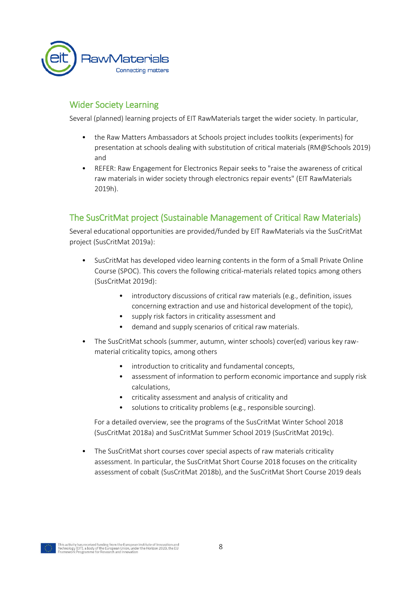

## <span id="page-7-0"></span>Wider Society Learning

Several (planned) learning projects of EIT RawMaterials target the wider society. In particular,

- the Raw Matters Ambassadors at Schools project includes toolkits (experiments) for presentation at schools dealing with substitution of critical materials (RM@Schools 2019) and
- REFER: Raw Engagement for Electronics Repair seeks to "raise the awareness of critical raw materials in wider society through electronics repair events" (EIT RawMaterials 2019h).

## <span id="page-7-1"></span>The SusCritMat project (Sustainable Management of Critical Raw Materials)

Several educational opportunities are provided/funded by EIT RawMaterials via the SusCritMat project (SusCritMat 2019a):

- SusCritMat has developed video learning contents in the form of a Small Private Online Course (SPOC). This covers the following critical-materials related topics among others (SusCritMat 2019d):
	- introductory discussions of critical raw materials (e.g., definition, issues concerning extraction and use and historical development of the topic),
	- supply risk factors in criticality assessment and
	- demand and supply scenarios of critical raw materials.
- The SusCritMat schools (summer, autumn, winter schools) cover(ed) various key rawmaterial criticality topics, among others
	- introduction to criticality and fundamental concepts,
	- assessment of information to perform economic importance and supply risk calculations,
	- criticality assessment and analysis of criticality and
	- solutions to criticality problems (e.g., responsible sourcing).

For a detailed overview, see the programs of the SusCritMat Winter School 2018 (SusCritMat 2018a) and SusCritMat Summer School 2019 (SusCritMat 2019c).

The SusCritMat short courses cover special aspects of raw materials criticality assessment. In particular, the SusCritMat Short Course 2018 focuses on the criticality assessment of cobalt (SusCritMat 2018b), and the SusCritMat Short Course 2019 deals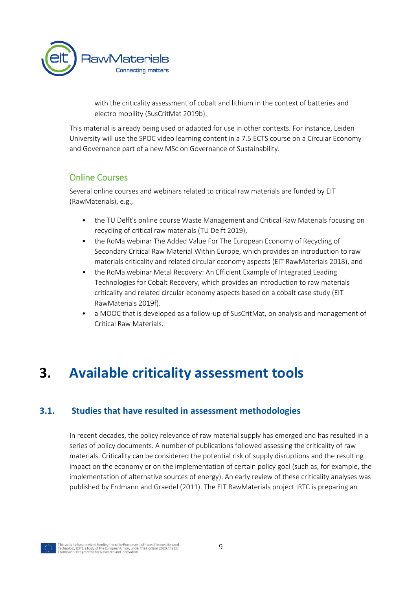

with the criticality assessment of cobalt and lithium in the context of batteries and electro mobility (SusCritMat 2019b).

This material is already being used or adapted for use in other contexts. For instance, Leiden University will use the SPOC video learning content in a 7.5 ECTS course on a Circular Economy and Governance part of a new MSc on Governance of Sustainability.

### <span id="page-8-0"></span>Online Courses

Several online courses and webinars related to critical raw materials are funded by EIT (RawMaterials), e.g.,

- the TU Delft's online course Waste Management and Critical Raw Materials focusing on recycling of critical raw materials (TU Delft 2019),
- the RoMa webinar The Added Value For The European Economy of Recycling of Secondary Critical Raw Material Within Europe, which provides an introduction to raw materials criticality and related circular economy aspects (EIT RawMaterials 2018), and
- the RoMa webinar Metal Recovery: An Efficient Example of Integrated Leading Technologies for Cobalt Recovery, which provides an introduction to raw materials criticality and related circular economy aspects based on a cobalt case study (EIT RawMaterials 2019f).
- <span id="page-8-1"></span>• a MOOC that is developed as a follow-up of SusCritMat, on analysis and management of Critical Raw Materials.

# **3. Available criticality assessment tools**

### <span id="page-8-2"></span>**3.1. Studies that have resulted in assessment methodologies**

In recent decades, the policy relevance of raw material supply has emerged and has resulted in a series of policy documents. A number of publications followed assessing the criticality of raw materials. Criticality can be considered the potential risk of supply disruptions and the resulting impact on the economy or on the implementation of certain policy goal (such as, for example, the implementation of alternative sources of energy). An early review of these criticality analyses was published by Erdmann and Graedel (2011). The EIT RawMaterials project IRTC is preparing an

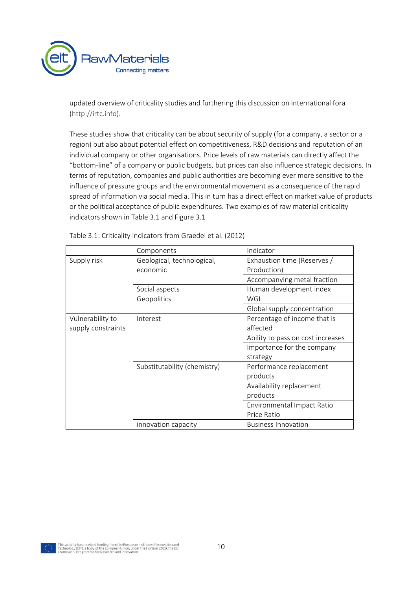

updated overview of criticality studies and furthering this discussion on international fora [\(http://irtc.info\)](http://irtc.info/).

These studies show that criticality can be about security of supply (for a company, a sector or a region) but also about potential effect on competitiveness, R&D decisions and reputation of an individual company or other organisations. Price levels of raw materials can directly affect the "bottom-line" of a company or public budgets, but prices can also influence strategic decisions. In terms of reputation, companies and public authorities are becoming ever more sensitive to the influence of pressure groups and the environmental movement as a consequence of the rapid spread of information via social media. This in turn has a direct effect on market value of products or the political acceptance of public expenditures. Two examples of raw material criticality indicators shown in Table 3.1 and Figure 3.1

|                    | Components                   | Indicator                         |
|--------------------|------------------------------|-----------------------------------|
| Supply risk        | Geological, technological,   | Exhaustion time (Reserves /       |
|                    | economic                     | Production)                       |
|                    |                              | Accompanying metal fraction       |
|                    | Social aspects               | Human development index           |
|                    | Geopolitics                  | WGI                               |
|                    |                              | Global supply concentration       |
| Vulnerability to   | Interest                     | Percentage of income that is      |
| supply constraints |                              | affected                          |
|                    |                              | Ability to pass on cost increases |
|                    |                              | Importance for the company        |
|                    |                              | strategy                          |
|                    | Substitutability (chemistry) | Performance replacement           |
|                    |                              | products                          |
|                    |                              | Availability replacement          |
|                    |                              | products                          |
|                    |                              | Environmental Impact Ratio        |
|                    |                              | Price Ratio                       |
|                    | innovation capacity          | <b>Business Innovation</b>        |

Table 3.1: Criticality indicators from Graedel et al. (2012)

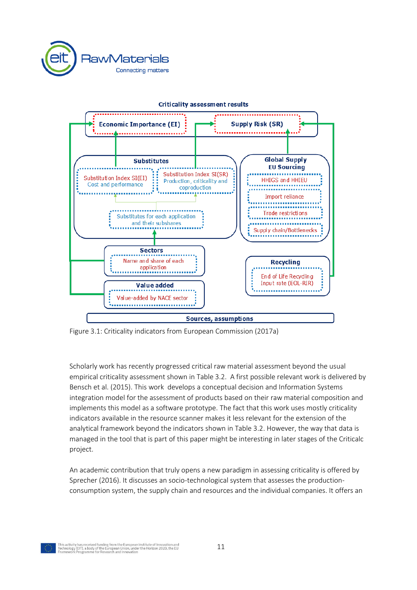



#### **Criticality assessment results**

Figure 3.1: Criticality indicators from European Commission (2017a)

Scholarly work has recently progressed critical raw material assessment beyond the usual empirical criticality assessment shown in Table 3.2. A first possible relevant work is delivered by Bensch et al. (2015). This work develops a conceptual decision and Information Systems integration model for the assessment of products based on their raw material composition and implements this model as a software prototype. The fact that this work uses mostly criticality indicators available in the resource scanner makes it less relevant for the extension of the analytical framework beyond the indicators shown in Table 3.2. However, the way that data is managed in the tool that is part of this paper might be interesting in later stages of the Criticalc project.

An academic contribution that truly opens a new paradigm in assessing criticality is offered by Sprecher (2016). It discusses an socio-technological system that assesses the productionconsumption system, the supply chain and resources and the individual companies. It offers an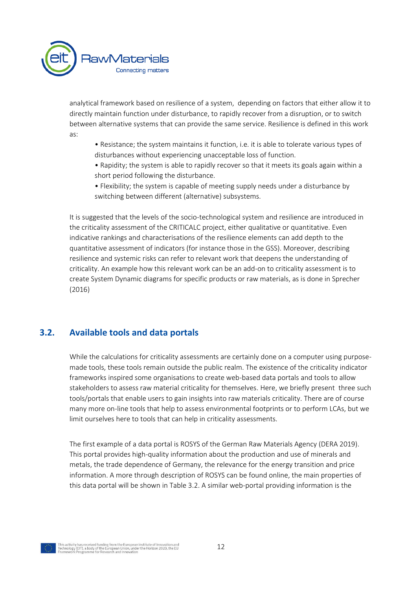

analytical framework based on resilience of a system, depending on factors that either allow it to directly maintain function under disturbance, to rapidly recover from a disruption, or to switch between alternative systems that can provide the same service. Resilience is defined in this work as:

- Resistance; the system maintains it function, i.e. it is able to tolerate various types of disturbances without experiencing unacceptable loss of function.
- Rapidity; the system is able to rapidly recover so that it meets its goals again within a short period following the disturbance.
- Flexibility; the system is capable of meeting supply needs under a disturbance by switching between different (alternative) subsystems.

It is suggested that the levels of the socio-technological system and resilience are introduced in the criticality assessment of the CRITICALC project, either qualitative or quantitative. Even indicative rankings and characterisations of the resilience elements can add depth to the quantitative assessment of indicators (for instance those in the GSS). Moreover, describing resilience and systemic risks can refer to relevant work that deepens the understanding of criticality. An example how this relevant work can be an add-on to criticality assessment is to create System Dynamic diagrams for specific products or raw materials, as is done in Sprecher (2016)

### <span id="page-11-0"></span>**3.2. Available tools and data portals**

While the calculations for criticality assessments are certainly done on a computer using purposemade tools, these tools remain outside the public realm. The existence of the criticality indicator frameworks inspired some organisations to create web-based data portals and tools to allow stakeholders to assess raw material criticality for themselves. Here, we briefly present three such tools/portals that enable users to gain insights into raw materials criticality. There are of course many more on-line tools that help to assess environmental footprints or to perform LCAs, but we limit ourselves here to tools that can help in criticality assessments.

The first example of a data portal is ROSYS of the German Raw Materials Agency (DERA 2019). This portal provides high-quality information about the production and use of minerals and metals, the trade dependence of Germany, the relevance for the energy transition and price information. A more through description of ROSYS can be found online, the main properties of this data portal will be shown in Table 3.2. A similar web-portal providing information is the

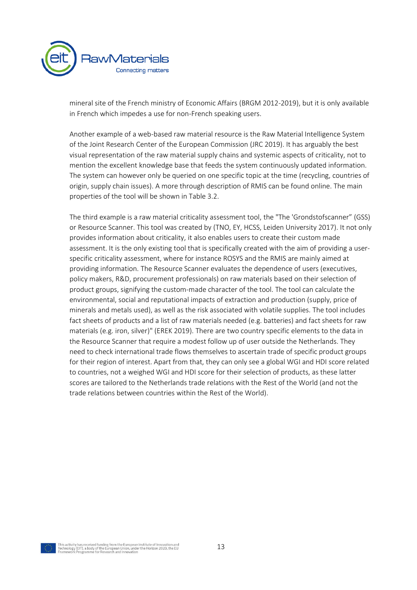

mineral site of the French ministry of Economic Affairs (BRGM 2012-2019), but it is only available in French which impedes a use for non-French speaking users.

Another example of a web-based raw material resource is the Raw Material Intelligence System of the Joint Research Center of the European Commission (JRC 2019). It has arguably the best visual representation of the raw material supply chains and systemic aspects of criticality, not to mention the excellent knowledge base that feeds the system continuously updated information. The system can however only be queried on one specific topic at the time (recycling, countries of origin, supply chain issues). A more through description of RMIS can be found online. The main properties of the tool will be shown in Table 3.2.

The third example is a raw material criticality assessment tool, the "The 'Grondstofscanner" (GSS) or Resource Scanner. This tool was created by (TNO, EY, HCSS, Leiden University 2017). It not only provides information about criticality, it also enables users to create their custom made assessment. It is the only existing tool that is specifically created with the aim of providing a userspecific criticality assessment, where for instance ROSYS and the RMIS are mainly aimed at providing information. The Resource Scanner evaluates the dependence of users (executives, policy makers, R&D, procurement professionals) on raw materials based on their selection of product groups, signifying the custom-made character of the tool. The tool can calculate the environmental, social and reputational impacts of extraction and production (supply, price of minerals and metals used), as well as the risk associated with volatile supplies. The tool includes fact sheets of products and a list of raw materials needed (e.g. batteries) and fact sheets for raw materials (e.g. iron, silver)" (EREK 2019). There are two country specific elements to the data in the Resource Scanner that require a modest follow up of user outside the Netherlands. They need to check international trade flows themselves to ascertain trade of specific product groups for their region of interest. Apart from that, they can only see a global WGI and HDI score related to countries, not a weighed WGI and HDI score for their selection of products, as these latter scores are tailored to the Netherlands trade relations with the Rest of the World (and not the trade relations between countries within the Rest of the World).

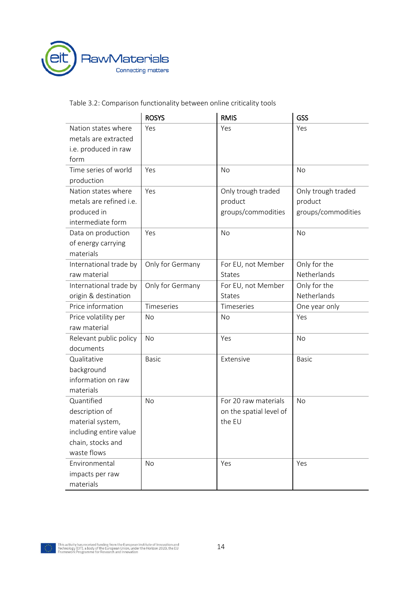

Table 3.2: Comparison functionality between online criticality tools

|                                                                                    | <b>ROSYS</b>     | <b>RMIS</b>                                         | GSS                                                 |
|------------------------------------------------------------------------------------|------------------|-----------------------------------------------------|-----------------------------------------------------|
| Nation states where<br>metals are extracted<br>i.e. produced in raw<br>form        | Yes              | Yes                                                 | Yes                                                 |
| Time series of world                                                               | Yes              | <b>No</b>                                           | No                                                  |
| production                                                                         |                  |                                                     |                                                     |
| Nation states where<br>metals are refined i.e.<br>produced in<br>intermediate form | Yes              | Only trough traded<br>product<br>groups/commodities | Only trough traded<br>product<br>groups/commodities |
| Data on production<br>of energy carrying<br>materials                              | Yes              | <b>No</b>                                           | <b>No</b>                                           |
| International trade by                                                             | Only for Germany | For EU, not Member                                  | Only for the                                        |
| raw material                                                                       |                  | <b>States</b>                                       | Netherlands                                         |
| International trade by                                                             | Only for Germany | For EU, not Member                                  | Only for the                                        |
| origin & destination                                                               |                  | <b>States</b>                                       | Netherlands                                         |
| Price information                                                                  | Timeseries       | Timeseries                                          | One year only                                       |
| Price volatility per<br>raw material                                               | No               | No                                                  | Yes                                                 |
| Relevant public policy<br>documents                                                | No               | Yes                                                 | No                                                  |
| Qualitative                                                                        | <b>Basic</b>     | Extensive                                           | <b>Basic</b>                                        |
| background                                                                         |                  |                                                     |                                                     |
| information on raw                                                                 |                  |                                                     |                                                     |
| materials                                                                          |                  |                                                     |                                                     |
| Quantified                                                                         | No               | For 20 raw materials                                | <b>No</b>                                           |
| description of                                                                     |                  | on the spatial level of                             |                                                     |
| material system,                                                                   |                  | the EU                                              |                                                     |
| including entire value                                                             |                  |                                                     |                                                     |
| chain, stocks and                                                                  |                  |                                                     |                                                     |
| waste flows                                                                        |                  |                                                     |                                                     |
| Environmental                                                                      | <b>No</b>        | Yes                                                 | Yes                                                 |
| impacts per raw                                                                    |                  |                                                     |                                                     |
| materials                                                                          |                  |                                                     |                                                     |

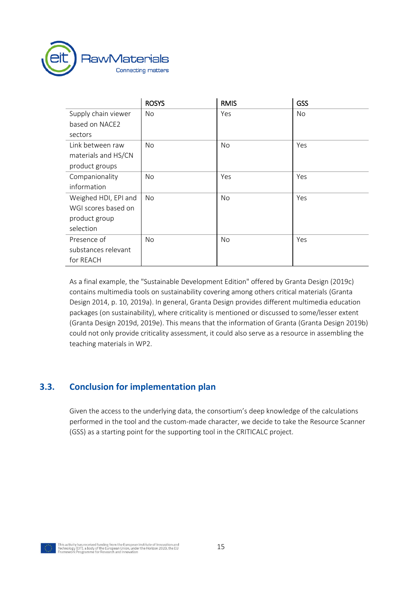

|                      | <b>ROSYS</b> | <b>RMIS</b> | GSS |
|----------------------|--------------|-------------|-----|
| Supply chain viewer  | No           | Yes         | No  |
| based on NACE2       |              |             |     |
| sectors              |              |             |     |
| Link between raw     | No           | No          | Yes |
| materials and HS/CN  |              |             |     |
| product groups       |              |             |     |
| Companionality       | No           | Yes         | Yes |
| information          |              |             |     |
| Weighed HDI, EPI and | No           | No          | Yes |
| WGI scores based on  |              |             |     |
| product group        |              |             |     |
| selection            |              |             |     |
| Presence of          | No           | No          | Yes |
| substances relevant  |              |             |     |
| for REACH            |              |             |     |

As a final example, the "Sustainable Development Edition" offered by Granta Design (2019c) contains multimedia tools on sustainability covering among others critical materials (Granta Design 2014, p. 10, 2019a). In general, Granta Design provides different multimedia education packages (on sustainability), where criticality is mentioned or discussed to some/lesser extent (Granta Design 2019d, 2019e). This means that the information of Granta (Granta Design 2019b) could not only provide criticality assessment, it could also serve as a resource in assembling the teaching materials in WP2.

## <span id="page-14-0"></span>**3.3. Conclusion for implementation plan**

Given the access to the underlying data, the consortium's deep knowledge of the calculations performed in the tool and the custom-made character, we decide to take the Resource Scanner (GSS) as a starting point for the supporting tool in the CRITICALC project.

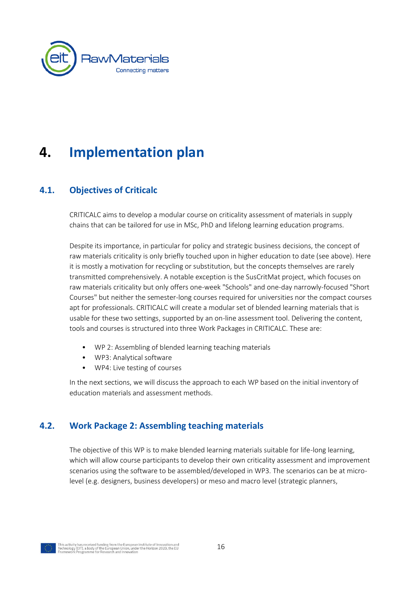

# <span id="page-15-0"></span>**4. Implementation plan**

## <span id="page-15-1"></span>**4.1. Objectives of Criticalc**

CRITICALC aims to develop a modular course on criticality assessment of materials in supply chains that can be tailored for use in MSc, PhD and lifelong learning education programs.

Despite its importance, in particular for policy and strategic business decisions, the concept of raw materials criticality is only briefly touched upon in higher education to date (see above). Here it is mostly a motivation for recycling or substitution, but the concepts themselves are rarely transmitted comprehensively. A notable exception is the SusCritMat project, which focuses on raw materials criticality but only offers one-week "Schools" and one-day narrowly-focused "Short Courses" but neither the semester-long courses required for universities nor the compact courses apt for professionals. CRITICALC will create a modular set of blended learning materials that is usable for these two settings, supported by an on-line assessment tool. Delivering the content, tools and courses is structured into three Work Packages in CRITICALC. These are:

- WP 2: Assembling of blended learning teaching materials
- WP3: Analytical software
- WP4: Live testing of courses

<span id="page-15-2"></span>In the next sections, we will discuss the approach to each WP based on the initial inventory of education materials and assessment methods.

### **4.2. Work Package 2: Assembling teaching materials**

The objective of this WP is to make blended learning materials suitable for life-long learning, which will allow course participants to develop their own criticality assessment and improvement scenarios using the software to be assembled/developed in WP3. The scenarios can be at microlevel (e.g. designers, business developers) or meso and macro level (strategic planners,

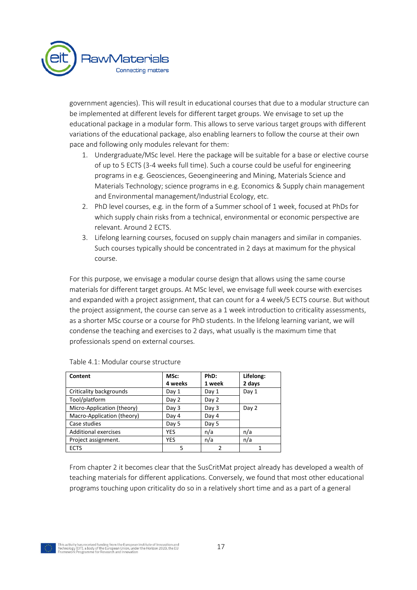

government agencies). This will result in educational courses that due to a modular structure can be implemented at different levels for different target groups. We envisage to set up the educational package in a modular form. This allows to serve various target groups with different variations of the educational package, also enabling learners to follow the course at their own pace and following only modules relevant for them:

- 1. Undergraduate/MSc level. Here the package will be suitable for a base or elective course of up to 5 ECTS (3-4 weeks full time). Such a course could be useful for engineering programs in e.g. Geosciences, Geoengineering and Mining, Materials Science and Materials Technology; science programs in e.g. Economics & Supply chain management and Environmental management/Industrial Ecology, etc.
- 2. PhD level courses, e.g. in the form of a Summer school of 1 week, focused at PhDs for which supply chain risks from a technical, environmental or economic perspective are relevant. Around 2 ECTS.
- 3. Lifelong learning courses, focused on supply chain managers and similar in companies. Such courses typically should be concentrated in 2 days at maximum for the physical course.

For this purpose, we envisage a modular course design that allows using the same course materials for different target groups. At MSc level, we envisage full week course with exercises and expanded with a project assignment, that can count for a 4 week/5 ECTS course. But without the project assignment, the course can serve as a 1 week introduction to criticality assessments, as a shorter MSc course or a course for PhD students. In the lifelong learning variant, we will condense the teaching and exercises to 2 days, what usually is the maximum time that professionals spend on external courses.

| Content                     | MSc:<br>4 weeks | PhD:<br>1 week | Lifelong:<br>2 days |
|-----------------------------|-----------------|----------------|---------------------|
|                             |                 |                |                     |
| Criticality backgrounds     | Day 1           | Day 1          | Day 1               |
| Tool/platform               | Day 2           | Day 2          |                     |
| Micro-Application (theory)  | Day 3           | Day 3          | Day 2               |
| Macro-Application (theory)  | Day 4           | Day 4          |                     |
| Case studies                | Day 5           | Day 5          |                     |
| <b>Additional exercises</b> | <b>YES</b>      | n/a            | n/a                 |
| Project assignment.         | <b>YES</b>      | n/a            | n/a                 |
| <b>ECTS</b>                 | 5               | າ              |                     |

#### Table 4.1: Modular course structure

From chapter 2 it becomes clear that the SusCritMat project already has developed a wealth of teaching materials for different applications. Conversely, we found that most other educational programs touching upon criticality do so in a relatively short time and as a part of a general

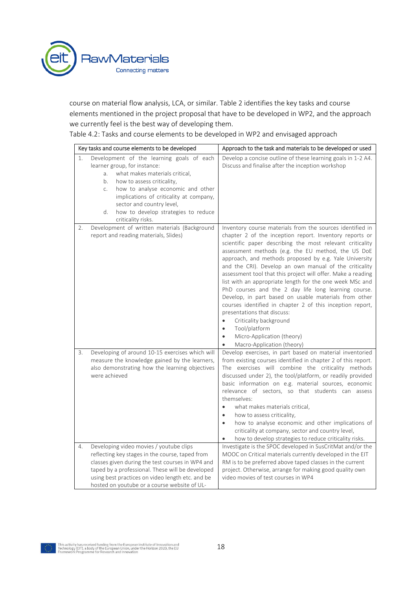

course on material flow analysis, LCA, or similar. Table 2 identifies the key tasks and course elements mentioned in the project proposal that have to be developed in WP2, and the approach we currently feel is the best way of developing them.

Table 4.2: Tasks and course elements to be developed in WP2 and envisaged approach

|                            | Key tasks and course elements to be developed                                                                                                                                                                                                                                                                       | Approach to the task and materials to be developed or used                                                                                                                                                                                                                                                                                                                                                                                                                                                                                                                                                                                                                                                                                                                                                           |  |
|----------------------------|---------------------------------------------------------------------------------------------------------------------------------------------------------------------------------------------------------------------------------------------------------------------------------------------------------------------|----------------------------------------------------------------------------------------------------------------------------------------------------------------------------------------------------------------------------------------------------------------------------------------------------------------------------------------------------------------------------------------------------------------------------------------------------------------------------------------------------------------------------------------------------------------------------------------------------------------------------------------------------------------------------------------------------------------------------------------------------------------------------------------------------------------------|--|
| 1.<br>a.<br>b.<br>C.<br>d. | Development of the learning goals of each<br>learner group, for instance:<br>what makes materials critical,<br>how to assess criticality,<br>how to analyse economic and other<br>implications of criticality at company,<br>sector and country level,<br>how to develop strategies to reduce<br>criticality risks. | Develop a concise outline of these learning goals in 1-2 A4.<br>Discuss and finalise after the inception workshop                                                                                                                                                                                                                                                                                                                                                                                                                                                                                                                                                                                                                                                                                                    |  |
| 2.                         | Development of written materials (Background<br>report and reading materials, Slides)                                                                                                                                                                                                                               | Inventory course materials from the sources identified in<br>chapter 2 of the inception report. Inventory reports or<br>scientific paper describing the most relevant criticality<br>assessment methods (e.g. the EU method, the US DoE<br>approach, and methods proposed by e.g. Yale University<br>and the CRI). Develop an own manual of the criticality<br>assessment tool that this project will offer. Make a reading<br>list with an appropriate length for the one week MSc and<br>PhD courses and the 2 day life long learning course.<br>Develop, in part based on usable materials from other<br>courses identified in chapter 2 of this inception report,<br>presentations that discuss:<br>Criticality background<br>$\bullet$<br>Tool/platform<br>$\bullet$<br>Micro-Application (theory)<br>$\bullet$ |  |
| 3.                         | Developing of around 10-15 exercises which will<br>measure the knowledge gained by the learners,<br>also demonstrating how the learning objectives<br>were achieved                                                                                                                                                 | Macro-Application (theory)<br>Develop exercises, in part based on material inventoried<br>from existing courses identified in chapter 2 of this report.<br>The exercises will combine the criticality methods<br>discussed under 2), the tool/platform, or readily provided<br>basic information on e.g. material sources, economic<br>relevance of sectors, so that students can assess<br>themselves:<br>what makes materials critical,<br>how to assess criticality,<br>$\bullet$<br>how to analyse economic and other implications of<br>$\bullet$<br>criticality at company, sector and country level,<br>how to develop strategies to reduce criticality risks.                                                                                                                                                |  |
| 4.                         | Developing video movies / youtube clips<br>reflecting key stages in the course, taped from<br>classes given during the test courses in WP4 and<br>taped by a professional. These will be developed<br>using best practices on video length etc. and be<br>hosted on youtube or a course website of UL-              | Investigate is the SPOC developed in SusCritMat and/or the<br>MOOC on Critical materials currently developed in the EIT<br>RM is to be preferred above taped classes in the current<br>project. Otherwise, arrange for making good quality own<br>video movies of test courses in WP4                                                                                                                                                                                                                                                                                                                                                                                                                                                                                                                                |  |

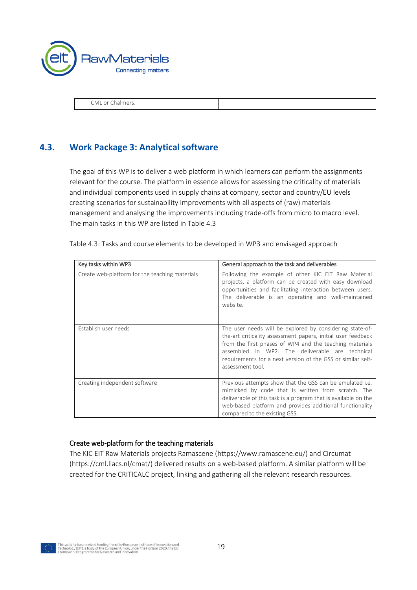

<span id="page-18-0"></span>CML or Chalmers.

## **4.3. Work Package 3: Analytical software**

The goal of this WP is to deliver a web platform in which learners can perform the assignments relevant for the course. The platform in essence allows for assessing the criticality of materials and individual components used in supply chains at company, sector and country/EU levels creating scenarios for sustainability improvements with all aspects of (raw) materials management and analysing the improvements including trade-offs from micro to macro level. The main tasks in this WP are listed in Table 4.3

| Key tasks within WP3                           | General approach to the task and deliverables                                                                                                                                                                                                                                                                             |
|------------------------------------------------|---------------------------------------------------------------------------------------------------------------------------------------------------------------------------------------------------------------------------------------------------------------------------------------------------------------------------|
| Create web-platform for the teaching materials | Following the example of other KIC EIT Raw Material<br>projects, a platform can be created with easy download<br>opportunities and facilitating interaction between users.<br>The deliverable is an operating and well-maintained<br>website.                                                                             |
| Establish user needs                           | The user needs will be explored by considering state-of-<br>the-art criticality assessment papers, initial user feedback<br>from the first phases of WP4 and the teaching materials<br>assembled in WP2. The deliverable are technical<br>requirements for a next version of the GSS or similar self-<br>assessment tool. |
| Creating independent software                  | Previous attempts show that the GSS can be emulated i.e.<br>mimicked by code that is written from scratch. The<br>deliverable of this task is a program that is available on the<br>web-based platform and provides additional functionality<br>compared to the existing GSS.                                             |

Table 4.3: Tasks and course elements to be developed in WP3 and envisaged approach

#### Create web-platform for the teaching materials

The KIC EIT Raw Materials projects Ramascene (https://www.ramascene.eu/) and Circumat (https://cml.liacs.nl/cmat/) delivered results on a web-based platform. A similar platform will be created for the CRITICALC project, linking and gathering all the relevant research resources.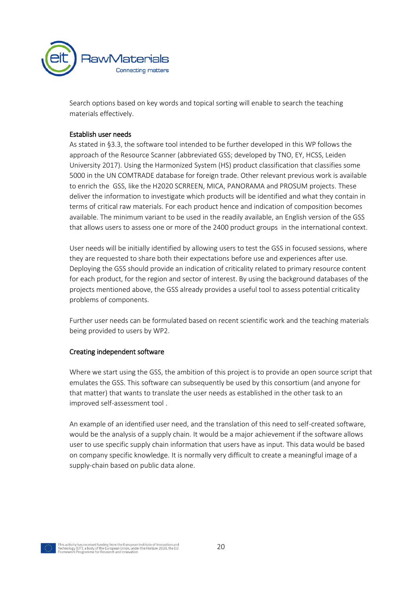

Search options based on key words and topical sorting will enable to search the teaching materials effectively.

#### Establish user needs

As stated in §3.3, the software tool intended to be further developed in this WP follows the approach of the Resource Scanner (abbreviated GSS; developed by TNO, EY, HCSS, Leiden University 2017). Using the Harmonized System (HS) product classification that classifies some 5000 in the UN COMTRADE database for foreign trade. Other relevant previous work is available to enrich the GSS, like the H2020 SCRREEN, MICA, PANORAMA and PROSUM projects. These deliver the information to investigate which products will be identified and what they contain in terms of critical raw materials. For each product hence and indication of composition becomes available. The minimum variant to be used in the readily available, an English version of the GSS that allows users to assess one or more of the 2400 product groups in the international context.

User needs will be initially identified by allowing users to test the GSS in focused sessions, where they are requested to share both their expectations before use and experiences after use. Deploying the GSS should provide an indication of criticality related to primary resource content for each product, for the region and sector of interest. By using the background databases of the projects mentioned above, the GSS already provides a useful tool to assess potential criticality problems of components.

Further user needs can be formulated based on recent scientific work and the teaching materials being provided to users by WP2.

#### Creating independent software

Where we start using the GSS, the ambition of this project is to provide an open source script that emulates the GSS. This software can subsequently be used by this consortium (and anyone for that matter) that wants to translate the user needs as established in the other task to an improved self-assessment tool .

An example of an identified user need, and the translation of this need to self-created software, would be the analysis of a supply chain. It would be a major achievement if the software allows user to use specific supply chain information that users have as input. This data would be based on company specific knowledge. It is normally very difficult to create a meaningful image of a supply-chain based on public data alone.

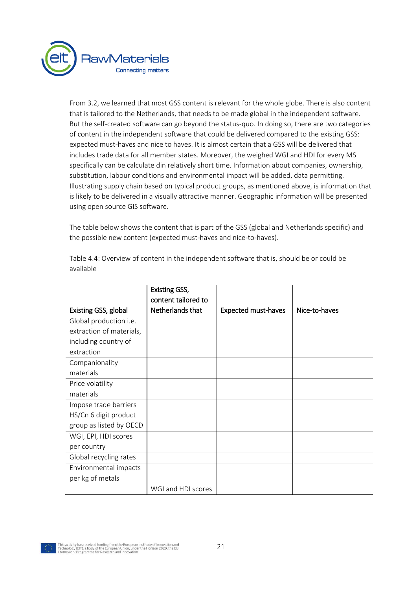

From [3.2,](#page-11-0) we learned that most GSS content is relevant for the whole globe. There is also content that is tailored to the Netherlands, that needs to be made global in the independent software. But the self-created software can go beyond the status-quo. In doing so, there are two categories of content in the independent software that could be delivered compared to the existing GSS: expected must-haves and nice to haves. It is almost certain that a GSS will be delivered that includes trade data for all member states. Moreover, the weighed WGI and HDI for every MS specifically can be calculate din relatively short time. Information about companies, ownership, substitution, labour conditions and environmental impact will be added, data permitting. Illustrating supply chain based on typical product groups, as mentioned above, is information that is likely to be delivered in a visually attractive manner. Geographic information will be presented using open source GIS software.

The table below shows the content that is part of the GSS (global and Netherlands specific) and the possible new content (expected must-haves and nice-to-haves).

|                          | <b>Existing GSS,</b><br>content tailored to |                            |               |
|--------------------------|---------------------------------------------|----------------------------|---------------|
| Existing GSS, global     | Netherlands that                            | <b>Expected must-haves</b> | Nice-to-haves |
| Global production i.e.   |                                             |                            |               |
| extraction of materials, |                                             |                            |               |
| including country of     |                                             |                            |               |
| extraction               |                                             |                            |               |
| Companionality           |                                             |                            |               |
| materials                |                                             |                            |               |
| Price volatility         |                                             |                            |               |
| materials                |                                             |                            |               |
| Impose trade barriers    |                                             |                            |               |
| HS/Cn 6 digit product    |                                             |                            |               |
| group as listed by OECD  |                                             |                            |               |
| WGI, EPI, HDI scores     |                                             |                            |               |
| per country              |                                             |                            |               |
| Global recycling rates   |                                             |                            |               |
| Environmental impacts    |                                             |                            |               |
| per kg of metals         |                                             |                            |               |
|                          | WGI and HDI scores                          |                            |               |

Table 4.4: Overview of content in the independent software that is, should be or could be available

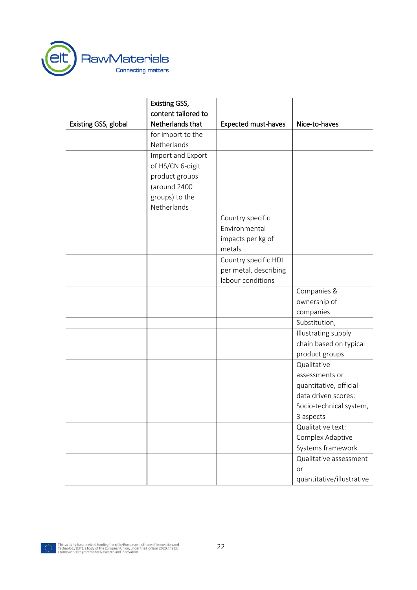

|                      | <b>Existing GSS,</b> |                            |                           |
|----------------------|----------------------|----------------------------|---------------------------|
|                      | content tailored to  |                            |                           |
| Existing GSS, global | Netherlands that     | <b>Expected must-haves</b> | Nice-to-haves             |
|                      | for import to the    |                            |                           |
|                      | Netherlands          |                            |                           |
|                      | Import and Export    |                            |                           |
|                      | of HS/CN 6-digit     |                            |                           |
|                      | product groups       |                            |                           |
|                      | (around 2400         |                            |                           |
|                      | groups) to the       |                            |                           |
|                      | Netherlands          |                            |                           |
|                      |                      | Country specific           |                           |
|                      |                      | Environmental              |                           |
|                      |                      | impacts per kg of          |                           |
|                      |                      | metals                     |                           |
|                      |                      | Country specific HDI       |                           |
|                      |                      | per metal, describing      |                           |
|                      |                      | labour conditions          |                           |
|                      |                      |                            | Companies &               |
|                      |                      |                            | ownership of              |
|                      |                      |                            | companies                 |
|                      |                      |                            | Substitution,             |
|                      |                      |                            | Illustrating supply       |
|                      |                      |                            | chain based on typical    |
|                      |                      |                            | product groups            |
|                      |                      |                            | Qualitative               |
|                      |                      |                            | assessments or            |
|                      |                      |                            | quantitative, official    |
|                      |                      |                            | data driven scores:       |
|                      |                      |                            | Socio-technical system,   |
|                      |                      |                            | 3 aspects                 |
|                      |                      |                            | Qualitative text:         |
|                      |                      |                            | Complex Adaptive          |
|                      |                      |                            | Systems framework         |
|                      |                      |                            | Qualitative assessment    |
|                      |                      |                            | or                        |
|                      |                      |                            | quantitative/illustrative |

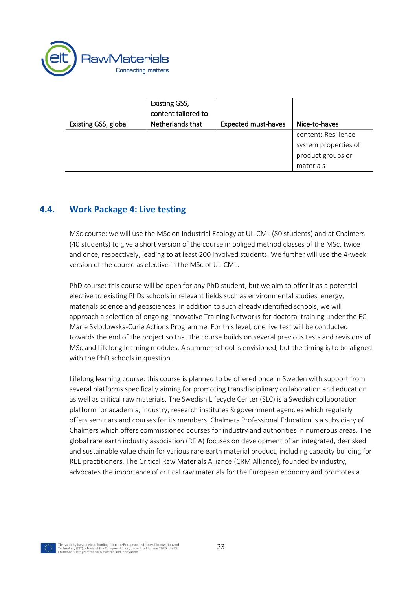

| Existing GSS, global | <b>Existing GSS,</b><br>content tailored to<br>Netherlands that | <b>Expected must-haves</b> | Nice-to-haves                                                                 |
|----------------------|-----------------------------------------------------------------|----------------------------|-------------------------------------------------------------------------------|
|                      |                                                                 |                            | content: Resilience<br>system properties of<br>product groups or<br>materials |

### <span id="page-22-0"></span>**4.4. Work Package 4: Live testing**

MSc course: we will use the MSc on Industrial Ecology at UL-CML (80 students) and at Chalmers (40 students) to give a short version of the course in obliged method classes of the MSc, twice and once, respectively, leading to at least 200 involved students. We further will use the 4-week version of the course as elective in the MSc of UL-CML.

PhD course: this course will be open for any PhD student, but we aim to offer it as a potential elective to existing PhDs schools in relevant fields such as environmental studies, energy, materials science and geosciences. In addition to such already identified schools, we will approach a selection of ongoing [Innovative Training Networks](http://ec.europa.eu/research/mariecurieactions/actions/research-networks_en) for doctoral training under the EC [Marie Skłodowska](https://ec.europa.eu/research/mariecurieactions/)-Curie Actions Programme. For this level, one live test will be conducted towards the end of the project so that the course builds on several previous tests and revisions of MSc and Lifelong learning modules. A summer school is envisioned, but the timing is to be aligned with the PhD schools in question.

Lifelong learning course: this course is planned to be offered once in Sweden with support from several platforms specifically aiming for promoting transdisciplinary collaboration and education as well as critical raw materials. The Swedish Lifecycle Center (SLC) is a Swedish collaboration platform for academia, industry, research institutes & government agencies which regularly offers seminars and courses for its members. Chalmers Professional Education is a subsidiary of Chalmers which offers commissioned courses for industry and authorities in numerous areas. The global rare earth industry association (REIA) focuses on development of an integrated, de-risked and sustainable value chain for various rare earth material product, including capacity building for REE practitioners. The Critical Raw Materials Alliance (CRM Alliance), founded by industry, advocates the importance of critical raw materials for the European economy and promotes a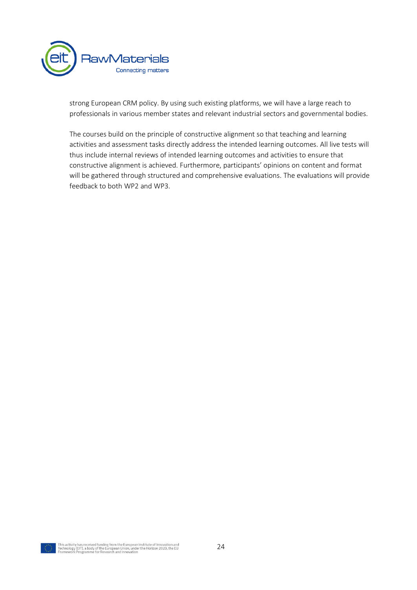

strong European CRM policy. By using such existing platforms, we will have a large reach to professionals in various member states and relevant industrial sectors and governmental bodies.

The courses build on the principle of constructive alignment so that teaching and learning activities and assessment tasks directly address the intended learning outcomes. All live tests will thus include internal reviews of intended learning outcomes and activities to ensure that constructive alignment is achieved. Furthermore, participants' opinions on content and format will be gathered through structured and comprehensive evaluations. The evaluations will provide feedback to both WP2 and WP3.

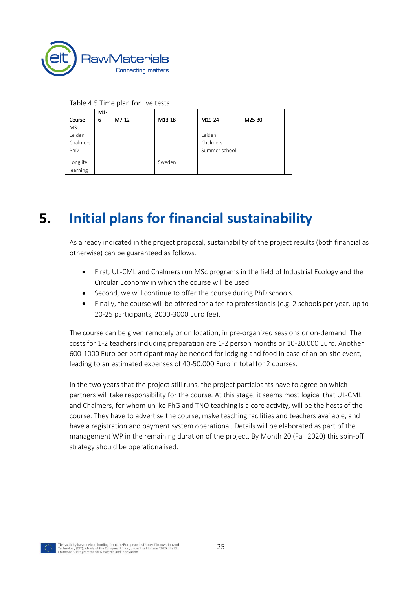

| Table 4.5 Time plan for live tests |  |  |
|------------------------------------|--|--|
| $ M1- $                            |  |  |

Table 4.5 Time plan for live tests

|            | IMT- |       |        |               |        |  |
|------------|------|-------|--------|---------------|--------|--|
| Course     | 6    | M7-12 | M13-18 | M19-24        | M25-30 |  |
| <b>MSc</b> |      |       |        |               |        |  |
| Leiden     |      |       |        | Leiden        |        |  |
| Chalmers   |      |       |        | Chalmers      |        |  |
| PhD        |      |       |        | Summer school |        |  |
|            |      |       |        |               |        |  |
| Longlife   |      |       | Sweden |               |        |  |
| learning   |      |       |        |               |        |  |

 $\mathbf{I}$ 

 $\mathbf{I}$ 

# <span id="page-24-0"></span>**5. Initial plans for financial sustainability**

As already indicated in the project proposal, sustainability of the project results (both financial as otherwise) can be guaranteed as follows.

- First, UL-CML and Chalmers run MSc programs in the field of Industrial Ecology and the Circular Economy in which the course will be used.
- Second, we will continue to offer the course during PhD schools.
- Finally, the course will be offered for a fee to professionals (e.g. 2 schools per year, up to 20-25 participants, 2000-3000 Euro fee).

The course can be given remotely or on location, in pre-organized sessions or on-demand. The costs for 1-2 teachers including preparation are 1-2 person months or 10-20.000 Euro. Another 600-1000 Euro per participant may be needed for lodging and food in case of an on-site event, leading to an estimated expenses of 40-50.000 Euro in total for 2 courses.

In the two years that the project still runs, the project participants have to agree on which partners will take responsibility for the course. At this stage, it seems most logical that UL-CML and Chalmers, for whom unlike FhG and TNO teaching is a core activity, will be the hosts of the course. They have to advertise the course, make teaching facilities and teachers available, and have a registration and payment system operational. Details will be elaborated as part of the management WP in the remaining duration of the project. By Month 20 (Fall 2020) this spin-off strategy should be operationalised.

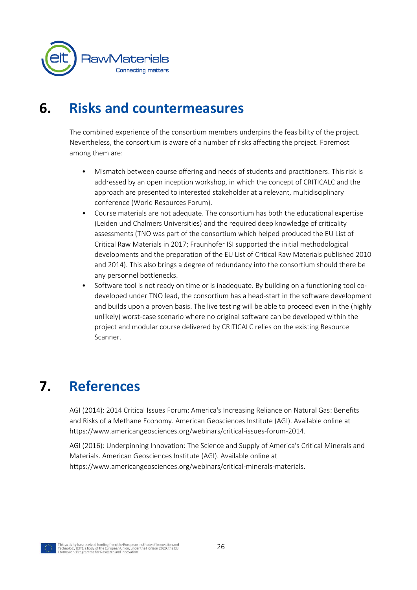

## <span id="page-25-0"></span>**6. Risks and countermeasures**

The combined experience of the consortium members underpins the feasibility of the project. Nevertheless, the consortium is aware of a number of risks affecting the project. Foremost among them are:

- Mismatch between course offering and needs of students and practitioners. This risk is addressed by an open inception workshop, in which the concept of CRITICALC and the approach are presented to interested stakeholder at a relevant, multidisciplinary conference (World Resources Forum).
- Course materials are not adequate. The consortium has both the educational expertise (Leiden und Chalmers Universities) and the required deep knowledge of criticality assessments (TNO was part of the consortium which helped produced the EU List of Critical Raw Materials in 2017; Fraunhofer ISI supported the initial methodological developments and the preparation of the EU List of Critical Raw Materials published 2010 and 2014). This also brings a degree of redundancy into the consortium should there be any personnel bottlenecks.
- Software tool is not ready on time or is inadequate. By building on a functioning tool codeveloped under TNO lead, the consortium has a head-start in the software development and builds upon a proven basis. The live testing will be able to proceed even in the (highly unlikely) worst-case scenario where no original software can be developed within the project and modular course delivered by CRITICALC relies on the existing Resource Scanner.

# <span id="page-25-1"></span>**7. References**

AGI (2014): 2014 Critical Issues Forum: America's Increasing Reliance on Natural Gas: Benefits and Risks of a Methane Economy. American Geosciences Institute (AGI). Available online at https://www.americangeosciences.org/webinars/critical-issues-forum-2014.

AGI (2016): Underpinning Innovation: The Science and Supply of America's Critical Minerals and Materials. American Geosciences Institute (AGI). Available online at https://www.americangeosciences.org/webinars/critical-minerals-materials.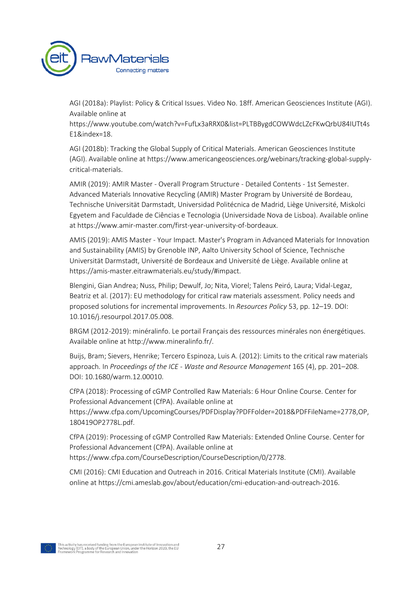

AGI (2018a): Playlist: Policy & Critical Issues. Video No. 18ff. American Geosciences Institute (AGI). Available online at

https://www.youtube.com/watch?v=FufLx3aRRX0&list=PLTBBygdCOWWdcLZcFKwQrbU84IUTt4s E1&index=18.

AGI (2018b): Tracking the Global Supply of Critical Materials. American Geosciences Institute (AGI). Available online at https://www.americangeosciences.org/webinars/tracking-global-supplycritical-materials.

AMIR (2019): AMIR Master - Overall Program Structure - Detailed Contents - 1st Semester. Advanced Materials Innovative Recycling (AMIR) Master Program by Université de Bordeau, Technische Universität Darmstadt, Universidad Politécnica de Madrid, Liège Université, Miskolci Egyetem and Faculdade de Ciências e Tecnologia (Universidade Nova de Lisboa). Available online at https://www.amir-master.com/first-year-university-of-bordeaux.

AMIS (2019): AMIS Master - Your Impact. Master's Program in Advanced Materials for Innovation and Sustainability (AMIS) by Grenoble INP, Aalto University School of Science, Technische Universität Darmstadt, Université de Bordeaux and Université de Liège. Available online at https://amis-master.eitrawmaterials.eu/study/#impact.

Blengini, Gian Andrea; Nuss, Philip; Dewulf, Jo; Nita, Viorel; Talens Peiró, Laura; Vidal-Legaz, Beatriz et al. (2017): EU methodology for critical raw materials assessment. Policy needs and proposed solutions for incremental improvements. In *Resources Policy* 53, pp. 12–19. DOI: 10.1016/j.resourpol.2017.05.008.

BRGM (2012-2019): minéralinfo. Le portail Français des ressources minérales non énergétiques. Available online at http://www.mineralinfo.fr/.

Buijs, Bram; Sievers, Henrike; Tercero Espinoza, Luis A. (2012): Limits to the critical raw materials approach. In *Proceedings of the ICE - Waste and Resource Management* 165 (4), pp. 201–208. DOI: 10.1680/warm.12.00010.

CfPA (2018): Processing of cGMP Controlled Raw Materials: 6 Hour Online Course. Center for Professional Advancement (CfPA). Available online at

https://www.cfpa.com/UpcomingCourses/PDFDisplay?PDFFolder=2018&PDFFileName=2778,OP, 180419OP2778L.pdf.

CfPA (2019): Processing of cGMP Controlled Raw Materials: Extended Online Course. Center for Professional Advancement (CfPA). Available online at https://www.cfpa.com/CourseDescription/CourseDescription/0/2778.

CMI (2016): CMI Education and Outreach in 2016. Critical Materials Institute (CMI). Available online at https://cmi.ameslab.gov/about/education/cmi-education-and-outreach-2016.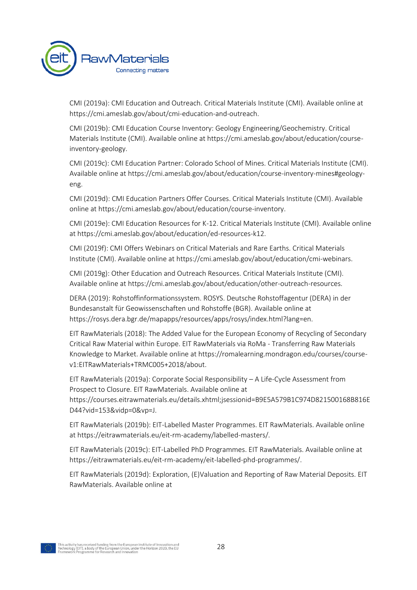

CMI (2019a): CMI Education and Outreach. Critical Materials Institute (CMI). Available online at https://cmi.ameslab.gov/about/cmi-education-and-outreach.

CMI (2019b): CMI Education Course Inventory: Geology Engineering/Geochemistry. Critical Materials Institute (CMI). Available online at https://cmi.ameslab.gov/about/education/courseinventory-geology.

CMI (2019c): CMI Education Partner: Colorado School of Mines. Critical Materials Institute (CMI). Available online at https://cmi.ameslab.gov/about/education/course-inventory-mines#geologyeng.

CMI (2019d): CMI Education Partners Offer Courses. Critical Materials Institute (CMI). Available online at https://cmi.ameslab.gov/about/education/course-inventory.

CMI (2019e): CMI Education Resources for K-12. Critical Materials Institute (CMI). Available online at https://cmi.ameslab.gov/about/education/ed-resources-k12.

CMI (2019f): CMI Offers Webinars on Critical Materials and Rare Earths. Critical Materials Institute (CMI). Available online at https://cmi.ameslab.gov/about/education/cmi-webinars.

CMI (2019g): Other Education and Outreach Resources. Critical Materials Institute (CMI). Available online at https://cmi.ameslab.gov/about/education/other-outreach-resources.

DERA (2019): Rohstoffinformationssystem. ROSYS. Deutsche Rohstoffagentur (DERA) in der Bundesanstalt für Geowissenschaften und Rohstoffe (BGR). Available online at https://rosys.dera.bgr.de/mapapps/resources/apps/rosys/index.html?lang=en.

EIT RawMaterials (2018): The Added Value for the European Economy of Recycling of Secondary Critical Raw Material within Europe. EIT RawMaterials via RoMa - Transferring Raw Materials Knowledge to Market. Available online at https://romalearning.mondragon.edu/courses/coursev1:EITRawMaterials+TRMC005+2018/about.

EIT RawMaterials (2019a): Corporate Social Responsibility – A Life-Cycle Assessment from Prospect to Closure. EIT RawMaterials. Available online at

https://courses.eitrawmaterials.eu/details.xhtml;jsessionid=B9E5A579B1C974D821500168B816E D44?vid=153&vidp=0&vp=J.

EIT RawMaterials (2019b): EIT-Labelled Master Programmes. EIT RawMaterials. Available online at https://eitrawmaterials.eu/eit-rm-academy/labelled-masters/.

EIT RawMaterials (2019c): EIT-Labelled PhD Programmes. EIT RawMaterials. Available online at https://eitrawmaterials.eu/eit-rm-academy/eit-labelled-phd-programmes/.

EIT RawMaterials (2019d): Exploration, (E)Valuation and Reporting of Raw Material Deposits. EIT RawMaterials. Available online at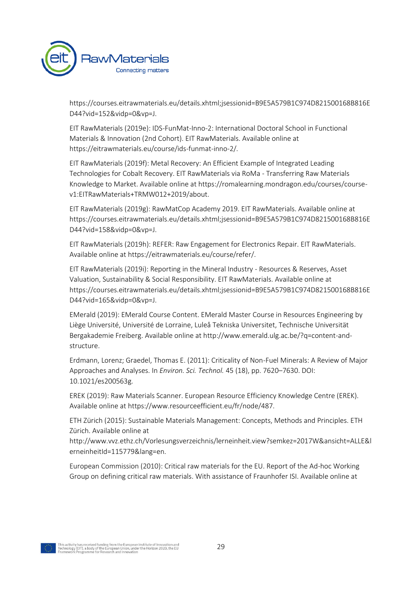

https://courses.eitrawmaterials.eu/details.xhtml;jsessionid=B9E5A579B1C974D821500168B816E D44?vid=152&vidp=0&vp=J.

EIT RawMaterials (2019e): IDS-FunMat-Inno-2: International Doctoral School in Functional Materials & Innovation (2nd Cohort). EIT RawMaterials. Available online at https://eitrawmaterials.eu/course/ids-funmat-inno-2/.

EIT RawMaterials (2019f): Metal Recovery: An Efficient Example of Integrated Leading Technologies for Cobalt Recovery. EIT RawMaterials via RoMa - Transferring Raw Materials Knowledge to Market. Available online at https://romalearning.mondragon.edu/courses/coursev1:EITRawMaterials+TRMW012+2019/about.

EIT RawMaterials (2019g): RawMatCop Academy 2019. EIT RawMaterials. Available online at https://courses.eitrawmaterials.eu/details.xhtml;jsessionid=B9E5A579B1C974D821500168B816E D44?vid=158&vidp=0&vp=J.

EIT RawMaterials (2019h): REFER: Raw Engagement for Electronics Repair. EIT RawMaterials. Available online at https://eitrawmaterials.eu/course/refer/.

EIT RawMaterials (2019i): Reporting in the Mineral Industry - Resources & Reserves, Asset Valuation, Sustainability & Social Responsibility. EIT RawMaterials. Available online at https://courses.eitrawmaterials.eu/details.xhtml;jsessionid=B9E5A579B1C974D821500168B816E D44?vid=165&vidp=0&vp=J.

EMerald (2019): EMerald Course Content. EMerald Master Course in Resources Engineering by Liège Université, Université de Lorraine, Luleå Tekniska Universitet, Technische Universität Bergakademie Freiberg. Available online at http://www.emerald.ulg.ac.be/?q=content-andstructure.

Erdmann, Lorenz; Graedel, Thomas E. (2011): Criticality of Non-Fuel Minerals: A Review of Major Approaches and Analyses. In *Environ. Sci. Technol.* 45 (18), pp. 7620–7630. DOI: 10.1021/es200563g.

EREK (2019): Raw Materials Scanner. European Resource Efficiency Knowledge Centre (EREK). Available online at https://www.resourceefficient.eu/fr/node/487.

ETH Zürich (2015): Sustainable Materials Management: Concepts, Methods and Principles. ETH Zürich. Available online at

http://www.vvz.ethz.ch/Vorlesungsverzeichnis/lerneinheit.view?semkez=2017W&ansicht=ALLE&l erneinheitId=115779&lang=en.

European Commission (2010): Critical raw materials for the EU. Report of the Ad-hoc Working Group on defining critical raw materials. With assistance of Fraunhofer ISI. Available online at

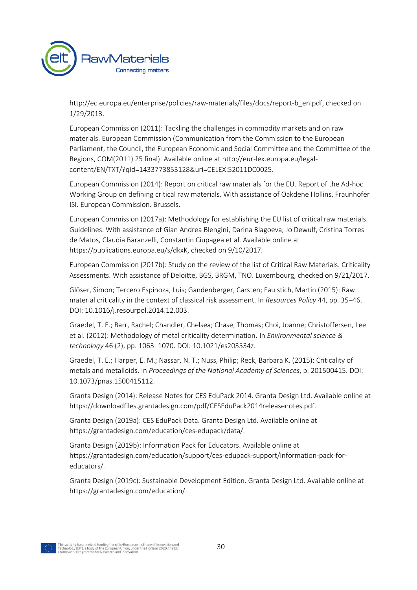

http://ec.europa.eu/enterprise/policies/raw-materials/files/docs/report-b\_en.pdf, checked on 1/29/2013.

European Commission (2011): Tackling the challenges in commodity markets and on raw materials. European Commission (Communication from the Commission to the European Parliament, the Council, the European Economic and Social Committee and the Committee of the Regions, COM(2011) 25 final). Available online at http://eur-lex.europa.eu/legalcontent/EN/TXT/?qid=1433773853128&uri=CELEX:52011DC0025.

European Commission (2014): Report on critical raw materials for the EU. Report of the Ad-hoc Working Group on defining critical raw materials. With assistance of Oakdene Hollins, Fraunhofer ISI. European Commission. Brussels.

European Commission (2017a): Methodology for establishing the EU list of critical raw materials. Guidelines. With assistance of Gian Andrea Blengini, Darina Blagoeva, Jo Dewulf, Cristina Torres de Matos, Claudia Baranzelli, Constantin Ciupagea et al. Available online at https://publications.europa.eu/s/dkxK, checked on 9/10/2017.

European Commission (2017b): Study on the review of the list of Critical Raw Materials. Criticality Assessments. With assistance of Deloitte, BGS, BRGM, TNO. Luxembourg, checked on 9/21/2017.

Glöser, Simon; Tercero Espinoza, Luis; Gandenberger, Carsten; Faulstich, Martin (2015): Raw material criticality in the context of classical risk assessment. In *Resources Policy* 44, pp. 35–46. DOI: 10.1016/j.resourpol.2014.12.003.

Graedel, T. E.; Barr, Rachel; Chandler, Chelsea; Chase, Thomas; Choi, Joanne; Christoffersen, Lee et al. (2012): Methodology of metal criticality determination. In *Environmental science & technology* 46 (2), pp. 1063–1070. DOI: 10.1021/es203534z.

Graedel, T. E.; Harper, E. M.; Nassar, N. T.; Nuss, Philip; Reck, Barbara K. (2015): Criticality of metals and metalloids. In *Proceedings of the National Academy of Sciences*, p. 201500415. DOI: 10.1073/pnas.1500415112.

Granta Design (2014): Release Notes for CES EduPack 2014. Granta Design Ltd. Available online at https://downloadfiles.grantadesign.com/pdf/CESEduPack2014releasenotes.pdf.

Granta Design (2019a): CES EduPack Data. Granta Design Ltd. Available online at https://grantadesign.com/education/ces-edupack/data/.

Granta Design (2019b): Information Pack for Educators. Available online at https://grantadesign.com/education/support/ces-edupack-support/information-pack-foreducators/.

Granta Design (2019c): Sustainable Development Edition. Granta Design Ltd. Available online at https://grantadesign.com/education/.

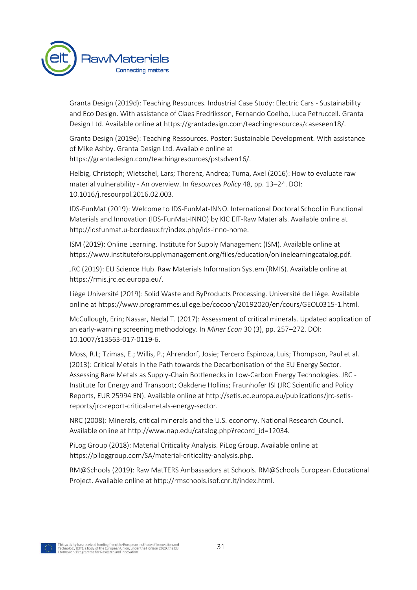

Granta Design (2019d): Teaching Resources. Industrial Case Study: Electric Cars - Sustainability and Eco Design. With assistance of Claes Fredriksson, Fernando Coelho, Luca Petruccell. Granta Design Ltd. Available online at https://grantadesign.com/teachingresources/caseseen18/.

Granta Design (2019e): Teaching Ressources. Poster: Sustainable Development. With assistance of Mike Ashby. Granta Design Ltd. Available online at https://grantadesign.com/teachingresources/pstsdven16/.

Helbig, Christoph; Wietschel, Lars; Thorenz, Andrea; Tuma, Axel (2016): How to evaluate raw material vulnerability - An overview. In *Resources Policy* 48, pp. 13–24. DOI: 10.1016/j.resourpol.2016.02.003.

IDS-FunMat (2019): Welcome to IDS-FunMat-INNO. International Doctoral School in Functional Materials and Innovation (IDS-FunMat-INNO) by KIC EIT-Raw Materials. Available online at http://idsfunmat.u-bordeaux.fr/index.php/ids-inno-home.

ISM (2019): Online Learning. Institute for Supply Management (ISM). Available online at https://www.instituteforsupplymanagement.org/files/education/onlinelearningcatalog.pdf.

JRC (2019): EU Science Hub. Raw Materials Information System (RMIS). Available online at https://rmis.jrc.ec.europa.eu/.

Liège Université (2019): Solid Waste and ByProducts Processing. Université de Liège. Available online at https://www.programmes.uliege.be/cocoon/20192020/en/cours/GEOL0315-1.html.

McCullough, Erin; Nassar, Nedal T. (2017): Assessment of critical minerals. Updated application of an early-warning screening methodology. In *Miner Econ* 30 (3), pp. 257–272. DOI: 10.1007/s13563-017-0119-6.

Moss, R.L; Tzimas, E.; Willis, P.; Ahrendorf, Josie; Tercero Espinoza, Luis; Thompson, Paul et al. (2013): Critical Metals in the Path towards the Decarbonisation of the EU Energy Sector. Assessing Rare Metals as Supply-Chain Bottlenecks in Low-Carbon Energy Technologies. JRC - Institute for Energy and Transport; Oakdene Hollins; Fraunhofer ISI (JRC Scientific and Policy Reports, EUR 25994 EN). Available online at http://setis.ec.europa.eu/publications/jrc-setisreports/jrc-report-critical-metals-energy-sector.

NRC (2008): Minerals, critical minerals and the U.S. economy. National Research Council. Available online at http://www.nap.edu/catalog.php?record\_id=12034.

PiLog Group (2018): Material Criticality Analysis. PiLog Group. Available online at https://piloggroup.com/SA/material-criticality-analysis.php.

RM@Schools (2019): Raw MatTERS Ambassadors at Schools. RM@Schools European Educational Project. Available online at http://rmschools.isof.cnr.it/index.html.

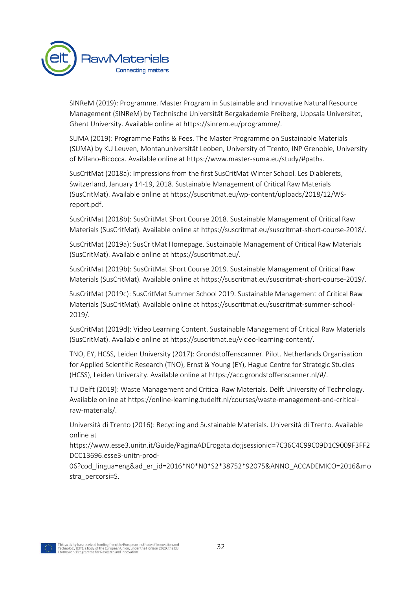

SINReM (2019): Programme. Master Program in Sustainable and Innovative Natural Resource Management (SINReM) by Technische Universität Bergakademie Freiberg, Uppsala Universitet, Ghent University. Available online at https://sinrem.eu/programme/.

SUMA (2019): Programme Paths & Fees. The Master Programme on Sustainable Materials (SUMA) by KU Leuven, Montanuniversität Leoben, University of Trento, INP Grenoble, University of Milano-Bicocca. Available online at https://www.master-suma.eu/study/#paths.

SusCritMat (2018a): Impressions from the first SusCritMat Winter School. Les Diablerets, Switzerland, January 14-19, 2018. Sustainable Management of Critical Raw Materials (SusCritMat). Available online at https://suscritmat.eu/wp-content/uploads/2018/12/WSreport.pdf.

SusCritMat (2018b): SusCritMat Short Course 2018. Sustainable Management of Critical Raw Materials (SusCritMat). Available online at https://suscritmat.eu/suscritmat-short-course-2018/.

SusCritMat (2019a): SusCritMat Homepage. Sustainable Management of Critical Raw Materials (SusCritMat). Available online at https://suscritmat.eu/.

SusCritMat (2019b): SusCritMat Short Course 2019. Sustainable Management of Critical Raw Materials (SusCritMat). Available online at https://suscritmat.eu/suscritmat-short-course-2019/.

SusCritMat (2019c): SusCritMat Summer School 2019. Sustainable Management of Critical Raw Materials (SusCritMat). Available online at https://suscritmat.eu/suscritmat-summer-school-2019/.

SusCritMat (2019d): Video Learning Content. Sustainable Management of Critical Raw Materials (SusCritMat). Available online at https://suscritmat.eu/video-learning-content/.

TNO, EY, HCSS, Leiden University (2017): Grondstoffenscanner. Pilot. Netherlands Organisation for Applied Scientific Research (TNO), Ernst & Young (EY), Hague Centre for Strategic Studies (HCSS), Leiden University. Available online at https://acc.grondstoffenscanner.nl/#/.

TU Delft (2019): Waste Management and Critical Raw Materials. Delft University of Technology. Available online at https://online-learning.tudelft.nl/courses/waste-management-and-criticalraw-materials/.

Università di Trento (2016): Recycling and Sustainable Materials. Università di Trento. Available online at

https://www.esse3.unitn.it/Guide/PaginaADErogata.do;jsessionid=7C36C4C99C09D1C9009F3FF2 DCC13696.esse3-unitn-prod-

06?cod lingua=eng&ad er id=2016\*N0\*N0\*S2\*38752\*92075&ANNO\_ACCADEMICO=2016&mo stra\_percorsi=S.